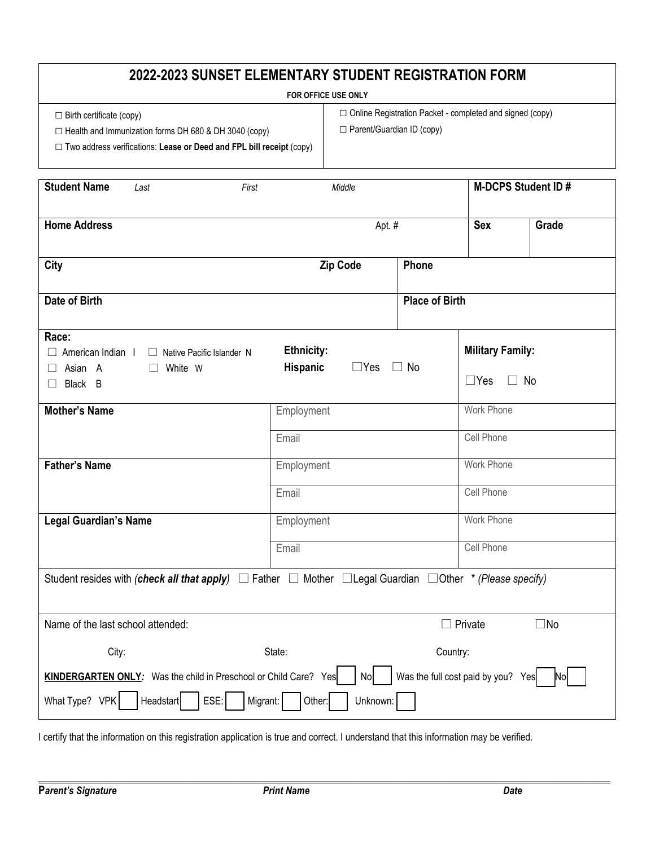## **2022-2023 SUNSET ELEMENTARY STUDENT REGISTRATION FORM**

## **FOR OFFICE USE ONLY**

□ Birth certificate (copy)

□ Health and Immunization forms DH 680 & DH 3040 (copy)

□ Online Registration Packet - completed and signed (copy) □ Parent/Guardian ID (copy)

□ Two address verifications: **Lease or Deed and FPL bill receipt** (copy)

| <b>Student Name</b><br>First<br>Last                                                                                                                                                                       | Middle                                             |           | <b>M-DCPS Student ID#</b>                          |       |  |  |
|------------------------------------------------------------------------------------------------------------------------------------------------------------------------------------------------------------|----------------------------------------------------|-----------|----------------------------------------------------|-------|--|--|
| <b>Home Address</b>                                                                                                                                                                                        | Apt. #                                             |           | <b>Sex</b>                                         | Grade |  |  |
| <b>City</b>                                                                                                                                                                                                | <b>Zip Code</b><br>Phone                           |           |                                                    |       |  |  |
| Date of Birth                                                                                                                                                                                              | <b>Place of Birth</b>                              |           |                                                    |       |  |  |
| Race:<br>$\Box$ American Indian I<br>$\Box$ Native Pacific Islander N<br>$\Box$ Asian A<br>White W<br>$\perp$<br>Black B<br>ш                                                                              | <b>Ethnicity:</b><br><b>Hispanic</b><br>$\Box$ Yes | $\Box$ No | <b>Military Family:</b><br>$\Box$ Yes<br>$\Box$ No |       |  |  |
| <b>Mother's Name</b>                                                                                                                                                                                       | Employment<br>Email                                |           | Work Phone<br>Cell Phone                           |       |  |  |
| <b>Father's Name</b>                                                                                                                                                                                       | Employment<br>Email                                |           | <b>Work Phone</b><br>Cell Phone                    |       |  |  |
| <b>Legal Guardian's Name</b>                                                                                                                                                                               | Employment<br>Email                                |           | <b>Work Phone</b><br><b>Cell Phone</b>             |       |  |  |
| Student resides with (check all that apply) $\Box$ Father $\Box$ Mother $\Box$ Legal Guardian $\Box$ Other * (Please specify)                                                                              |                                                    |           |                                                    |       |  |  |
| Name of the last school attended:                                                                                                                                                                          |                                                    |           | $\Box$ Private<br>$\square$ No                     |       |  |  |
| City:                                                                                                                                                                                                      | State:                                             |           | Country:                                           |       |  |  |
| Was the full cost paid by you? Yes<br><b>KINDERGARTEN ONLY:</b> Was the child in Preschool or Child Care? Yes<br>No<br>Nol<br>What Type? VPK<br><b>Headstart</b><br>ESE:<br>Migrant:<br>Unknown:<br>Other: |                                                    |           |                                                    |       |  |  |

I certify that the information on this registration application is true and correct. I understand that this information may be verified.

**\_\_\_\_\_\_\_\_\_\_\_\_\_\_\_\_\_\_\_\_\_\_\_\_\_\_\_\_\_\_\_\_\_\_\_\_\_\_\_\_\_\_\_\_\_\_\_\_\_\_\_\_\_\_\_\_\_\_\_\_\_\_\_\_\_\_\_\_\_\_\_\_\_\_\_\_\_\_\_\_\_\_\_\_\_\_\_\_\_\_\_\_\_\_\_\_\_\_\_\_\_\_\_\_\_\_**